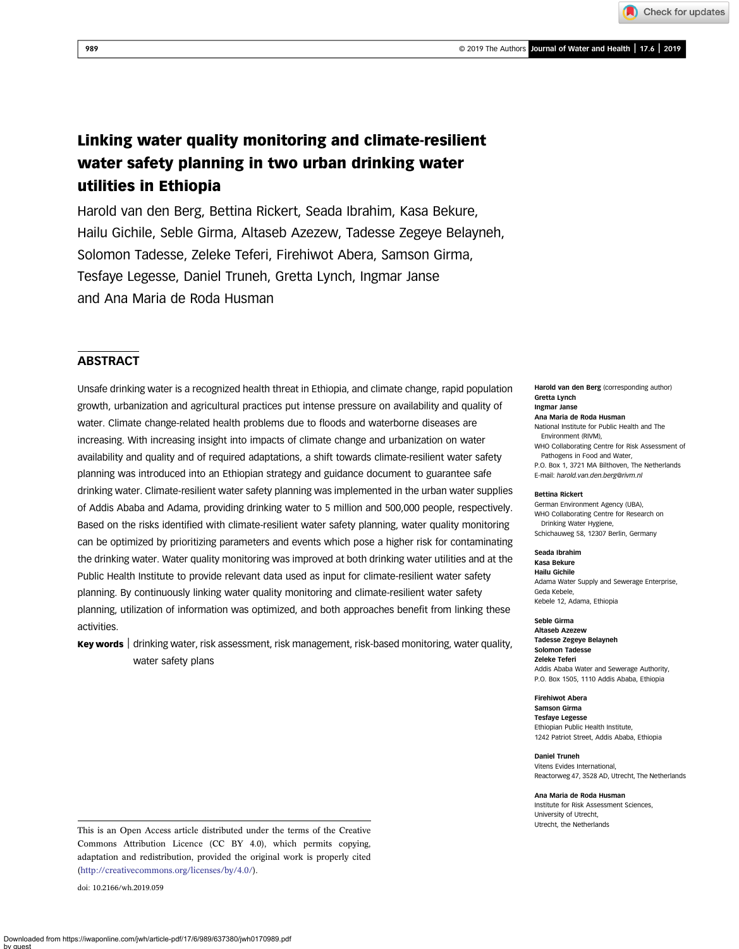Check for updates

# Linking water quality monitoring and climate-resilient water safety planning in two urban drinking water utilities in Ethiopia

Harold van den Berg, Bettina Rickert, Seada Ibrahim, Kasa Bekure, Hailu Gichile, Seble Girma, Altaseb Azezew, Tadesse Zegeye Belayneh, Solomon Tadesse, Zeleke Teferi, Firehiwot Abera, Samson Girma, Tesfaye Legesse, Daniel Truneh, Gretta Lynch, Ingmar Janse and Ana Maria de Roda Husman

## **ABSTRACT**

Unsafe drinking water is a recognized health threat in Ethiopia, and climate change, rapid population growth, urbanization and agricultural practices put intense pressure on availability and quality of water. Climate change-related health problems due to floods and waterborne diseases are increasing. With increasing insight into impacts of climate change and urbanization on water availability and quality and of required adaptations, a shift towards climate-resilient water safety planning was introduced into an Ethiopian strategy and guidance document to guarantee safe drinking water. Climate-resilient water safety planning was implemented in the urban water supplies of Addis Ababa and Adama, providing drinking water to 5 million and 500,000 people, respectively. Based on the risks identified with climate-resilient water safety planning, water quality monitoring can be optimized by prioritizing parameters and events which pose a higher risk for contaminating the drinking water. Water quality monitoring was improved at both drinking water utilities and at the Public Health Institute to provide relevant data used as input for climate-resilient water safety planning. By continuously linking water quality monitoring and climate-resilient water safety planning, utilization of information was optimized, and both approaches benefit from linking these activities.

Key words | drinking water, risk assessment, risk management, risk-based monitoring, water quality, water safety plans

Harold van den Berg (corresponding author) Gretta Lynch Ingmar Janse

Ana Maria de Roda Husman National Institute for Public Health and The Environment (RIVM), WHO Collaborating Centre for Risk Assessment of Pathogens in Food and Water, P.O. Box 1, 3721 MA Bilthoven, The Netherlands

E-mail: [harold.van.den.berg@rivm.nl](mailto:harold.van.den.berg@rivm.nl)

#### Bettina Rickert

German Environment Agency (UBA), WHO Collaborating Centre for Research on Drinking Water Hygiene, Schichauweg 58, 12307 Berlin, Germany

## Seada Ibrahim

Kasa Bekure Hailu Gichile Adama Water Supply and Sewerage Enterprise, Geda Kebele, Kebele 12, Adama, Ethiopia

Seble Girma

Altaseb Azezew Tadesse Zegeye Belayneh Solomon Tadesse Zeleke Teferi Addis Ababa Water and Sewerage Authority, P.O. Box 1505, 1110 Addis Ababa, Ethiopia

Firehiwot Abera Samson Girma Tesfaye Legesse Ethiopian Public Health Institute, 1242 Patriot Street, Addis Ababa, Ethiopia

Daniel Truneh Vitens Evides International, Reactorweg 47, 3528 AD, Utrecht, The Netherlands

Ana Maria de Roda Husman Institute for Risk Assessment Sciences, University of Utrecht, Utrecht, the Netherlands

This is an Open Access article distributed under the terms of the Creative Commons Attribution Licence (CC BY 4.0), which permits copying, adaptation and redistribution, provided the original work is properly cited [\(http://creativecommons.org/licenses/by/4.0/](http://creativecommons.org/licenses/by/4.0/)).

doi: 10.2166/wh.2019.059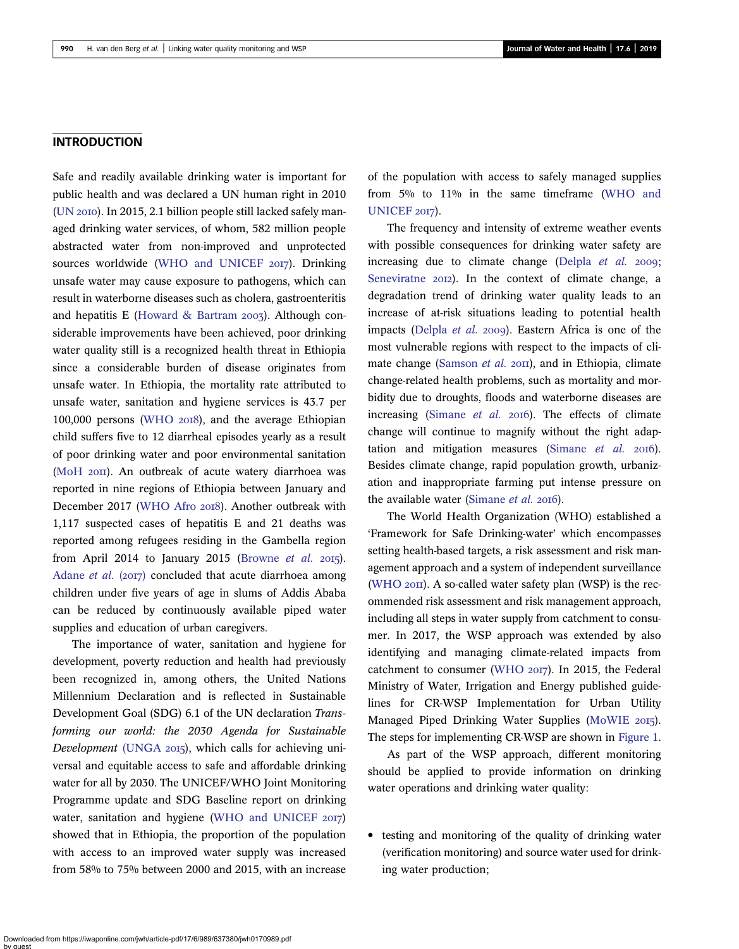#### INTRODUCTION

Safe and readily available drinking water is important for public health and was declared a UN human right in 2010  $(UN 2010)$ . In 2015, 2.1 billion people still lacked safely managed drinking water services, of whom, 582 million people abstracted water from non-improved and unprotected sources worldwide [\(WHO and UNICEF](#page-12-0) 2017). Drinking unsafe water may cause exposure to pathogens, which can result in waterborne diseases such as cholera, gastroenteritis and hepatitis E [\(Howard & Bartram](#page-11-0)  $2003$ ). Although considerable improvements have been achieved, poor drinking water quality still is a recognized health threat in Ethiopia since a considerable burden of disease originates from unsafe water. In Ethiopia, the mortality rate attributed to unsafe water, sanitation and hygiene services is 43.7 per 100,000 persons [\(WHO](#page-12-0) 2018), and the average Ethiopian child suffers five to 12 diarrheal episodes yearly as a result of poor drinking water and poor environmental sanitation ([MoH](#page-11-0) 20II). An outbreak of acute watery diarrhoea was reported in nine regions of Ethiopia between January and December 2017 [\(WHO Afro](#page-12-0) 2018). Another outbreak with 1,117 suspected cases of hepatitis E and 21 deaths was reported among refugees residing in the Gambella region from April 2014 to January 2015 ([Browne](#page-11-0) et al.  $2015$ ). [Adane](#page-11-0) et al.  $(2017)$  concluded that acute diarrhoea among children under five years of age in slums of Addis Ababa can be reduced by continuously available piped water supplies and education of urban caregivers.

The importance of water, sanitation and hygiene for development, poverty reduction and health had previously been recognized in, among others, the United Nations Millennium Declaration and is reflected in Sustainable Development Goal (SDG) 6.1 of the UN declaration Transforming our world: the 2030 Agenda for Sustainable Development [\(UNGA](#page-12-0) 2015), which calls for achieving universal and equitable access to safe and affordable drinking water for all by 2030. The UNICEF/WHO Joint Monitoring Programme update and SDG Baseline report on drinking water, sanitation and hygiene [\(WHO and UNICEF](#page-12-0)  $20I7$ ) showed that in Ethiopia, the proportion of the population with access to an improved water supply was increased from 58% to 75% between 2000 and 2015, with an increase of the population with access to safely managed supplies from 5% to 11% in the same timeframe ([WHO and](#page-12-0) [UNICEF](#page-12-0) 2017).

The frequency and intensity of extreme weather events with possible consequences for drinking water safety are increasing due to climate change [\(Delpla](#page-11-0)  $et$   $al.$  2009; [Seneviratne](#page-11-0) 2012). In the context of climate change, a degradation trend of drinking water quality leads to an increase of at-risk situations leading to potential health impacts [\(Delpla](#page-11-0) et al. 2009). Eastern Africa is one of the most vulnerable regions with respect to the impacts of cli-mate change [\(Samson](#page-11-0) et al.  $20\text{m}$ ), and in Ethiopia, climate change-related health problems, such as mortality and morbidity due to droughts, floods and waterborne diseases are increasing ([Simane](#page-11-0) *et al.*  $20I6$ ). The effects of climate change will continue to magnify without the right adap-tation and mitigation measures ([Simane](#page-11-0)  $et$   $al.$   $2016$ ). Besides climate change, rapid population growth, urbanization and inappropriate farming put intense pressure on the available water ([Simane](#page-11-0) et al. 2016).

The World Health Organization (WHO) established a 'Framework for Safe Drinking-water' which encompasses setting health-based targets, a risk assessment and risk management approach and a system of independent surveillance ([WHO](#page-12-0)  $20\text{H}$ ). A so-called water safety plan (WSP) is the recommended risk assessment and risk management approach, including all steps in water supply from catchment to consumer. In 2017, the WSP approach was extended by also identifying and managing climate-related impacts from catchment to consumer ([WHO](#page-12-0) 2017). In 2015, the Federal Ministry of Water, Irrigation and Energy published guidelines for CR-WSP Implementation for Urban Utility Managed Piped Drinking Water Supplies [\(MoWIE](#page-11-0) 2015). The steps for implementing CR-WSP are shown in [Figure 1](#page-2-0).

As part of the WSP approach, different monitoring should be applied to provide information on drinking water operations and drinking water quality:

• testing and monitoring of the quality of drinking water (verification monitoring) and source water used for drinking water production;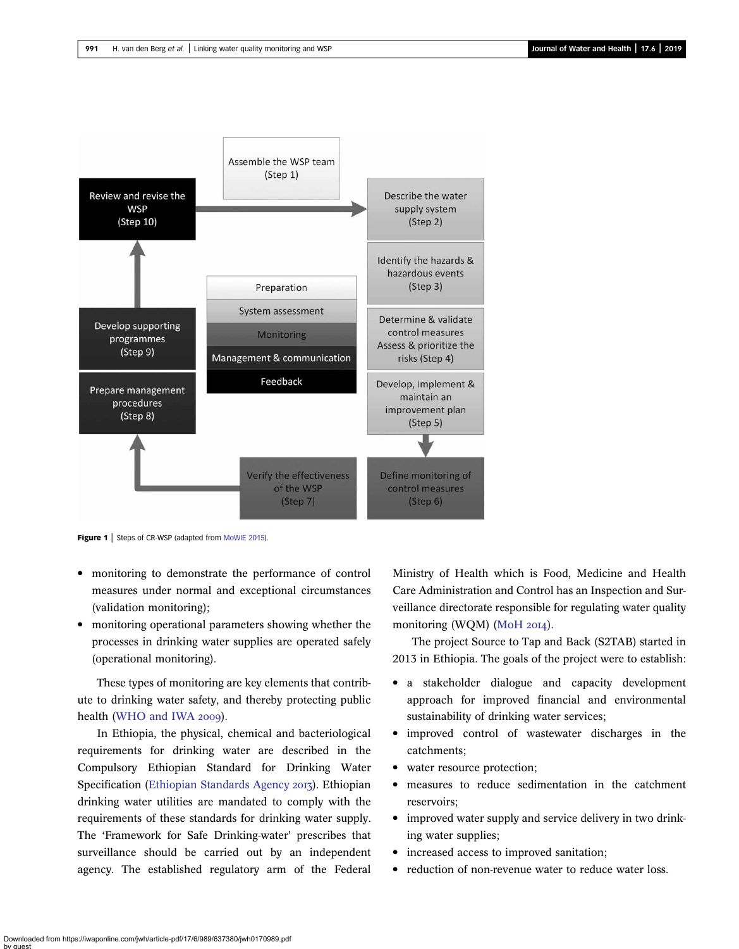<span id="page-2-0"></span>

Figure 1 | Steps of CR-WSP (adapted from [MoWIE 2015](#page-11-0)).

- monitoring to demonstrate the performance of control measures under normal and exceptional circumstances (validation monitoring);
- monitoring operational parameters showing whether the processes in drinking water supplies are operated safely (operational monitoring).

These types of monitoring are key elements that contribute to drinking water safety, and thereby protecting public health [\(WHO and IWA](#page-12-0) 2009).

In Ethiopia, the physical, chemical and bacteriological requirements for drinking water are described in the Compulsory Ethiopian Standard for Drinking Water Specification ([Ethiopian Standards Agency](#page-11-0) 2013). Ethiopian drinking water utilities are mandated to comply with the requirements of these standards for drinking water supply. The 'Framework for Safe Drinking-water' prescribes that surveillance should be carried out by an independent agency. The established regulatory arm of the Federal

Ministry of Health which is Food, Medicine and Health Care Administration and Control has an Inspection and Surveillance directorate responsible for regulating water quality monitoring (WQM) ([MoH](#page-11-0) 2014).

The project Source to Tap and Back (S2TAB) started in 2013 in Ethiopia. The goals of the project were to establish:

- a stakeholder dialogue and capacity development approach for improved financial and environmental sustainability of drinking water services;
- improved control of wastewater discharges in the catchments;
- water resource protection;
- measures to reduce sedimentation in the catchment reservoirs;
- improved water supply and service delivery in two drinking water supplies;
- increased access to improved sanitation;
- reduction of non-revenue water to reduce water loss.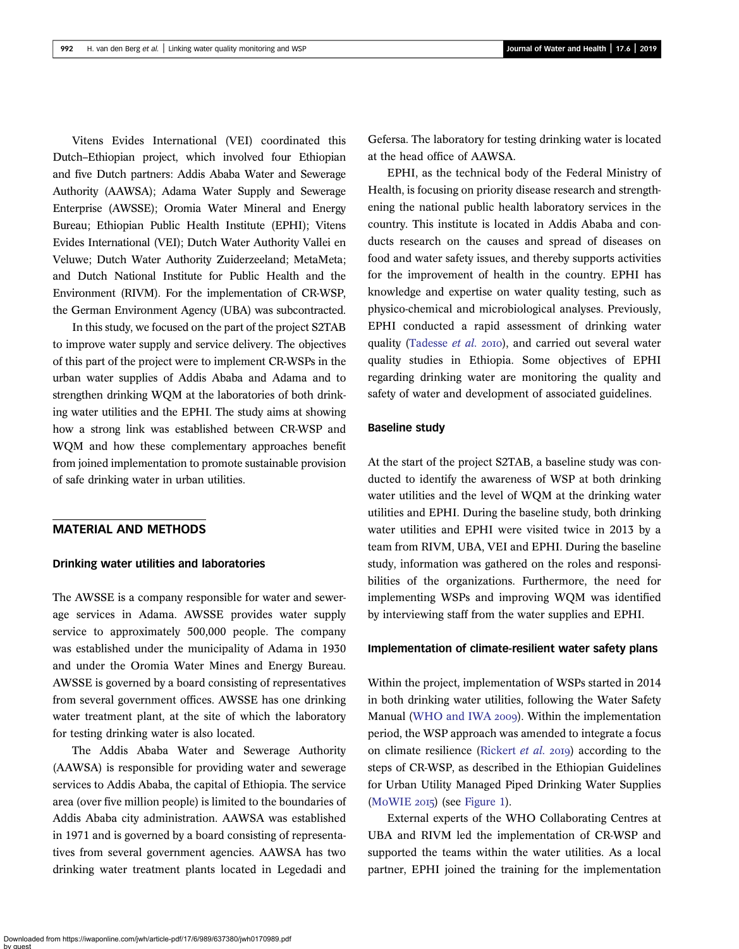Vitens Evides International (VEI) coordinated this Dutch–Ethiopian project, which involved four Ethiopian and five Dutch partners: Addis Ababa Water and Sewerage Authority (AAWSA); Adama Water Supply and Sewerage Enterprise (AWSSE); Oromia Water Mineral and Energy Bureau; Ethiopian Public Health Institute (EPHI); Vitens Evides International (VEI); Dutch Water Authority Vallei en Veluwe; Dutch Water Authority Zuiderzeeland; MetaMeta; and Dutch National Institute for Public Health and the Environment (RIVM). For the implementation of CR-WSP, the German Environment Agency (UBA) was subcontracted.

In this study, we focused on the part of the project S2TAB to improve water supply and service delivery. The objectives of this part of the project were to implement CR-WSPs in the urban water supplies of Addis Ababa and Adama and to strengthen drinking WQM at the laboratories of both drinking water utilities and the EPHI. The study aims at showing how a strong link was established between CR-WSP and WQM and how these complementary approaches benefit from joined implementation to promote sustainable provision of safe drinking water in urban utilities.

## MATERIAL AND METHODS

#### Drinking water utilities and laboratories

The AWSSE is a company responsible for water and sewerage services in Adama. AWSSE provides water supply service to approximately 500,000 people. The company was established under the municipality of Adama in 1930 and under the Oromia Water Mines and Energy Bureau. AWSSE is governed by a board consisting of representatives from several government offices. AWSSE has one drinking water treatment plant, at the site of which the laboratory for testing drinking water is also located.

The Addis Ababa Water and Sewerage Authority (AAWSA) is responsible for providing water and sewerage services to Addis Ababa, the capital of Ethiopia. The service area (over five million people) is limited to the boundaries of Addis Ababa city administration. AAWSA was established in 1971 and is governed by a board consisting of representatives from several government agencies. AAWSA has two drinking water treatment plants located in Legedadi and Gefersa. The laboratory for testing drinking water is located at the head office of AAWSA.

EPHI, as the technical body of the Federal Ministry of Health, is focusing on priority disease research and strengthening the national public health laboratory services in the country. This institute is located in Addis Ababa and conducts research on the causes and spread of diseases on food and water safety issues, and thereby supports activities for the improvement of health in the country. EPHI has knowledge and expertise on water quality testing, such as physico-chemical and microbiological analyses. Previously, EPHI conducted a rapid assessment of drinking water quality ([Tadesse](#page-12-0) et al. 2010), and carried out several water quality studies in Ethiopia. Some objectives of EPHI regarding drinking water are monitoring the quality and safety of water and development of associated guidelines.

## Baseline study

At the start of the project S2TAB, a baseline study was conducted to identify the awareness of WSP at both drinking water utilities and the level of WQM at the drinking water utilities and EPHI. During the baseline study, both drinking water utilities and EPHI were visited twice in 2013 by a team from RIVM, UBA, VEI and EPHI. During the baseline study, information was gathered on the roles and responsibilities of the organizations. Furthermore, the need for implementing WSPs and improving WQM was identified by interviewing staff from the water supplies and EPHI.

### Implementation of climate-resilient water safety plans

Within the project, implementation of WSPs started in 2014 in both drinking water utilities, following the Water Safety Manual ([WHO and IWA](#page-12-0) 2009). Within the implementation period, the WSP approach was amended to integrate a focus on climate resilience [\(Rickert](#page-11-0) *et al.* 2019) according to the steps of CR-WSP, as described in the Ethiopian Guidelines for Urban Utility Managed Piped Drinking Water Supplies  $(MoWIE 2015)$  $(MoWIE 2015)$  $(MoWIE 2015)$  (see [Figure 1\)](#page-2-0).

External experts of the WHO Collaborating Centres at UBA and RIVM led the implementation of CR-WSP and supported the teams within the water utilities. As a local partner, EPHI joined the training for the implementation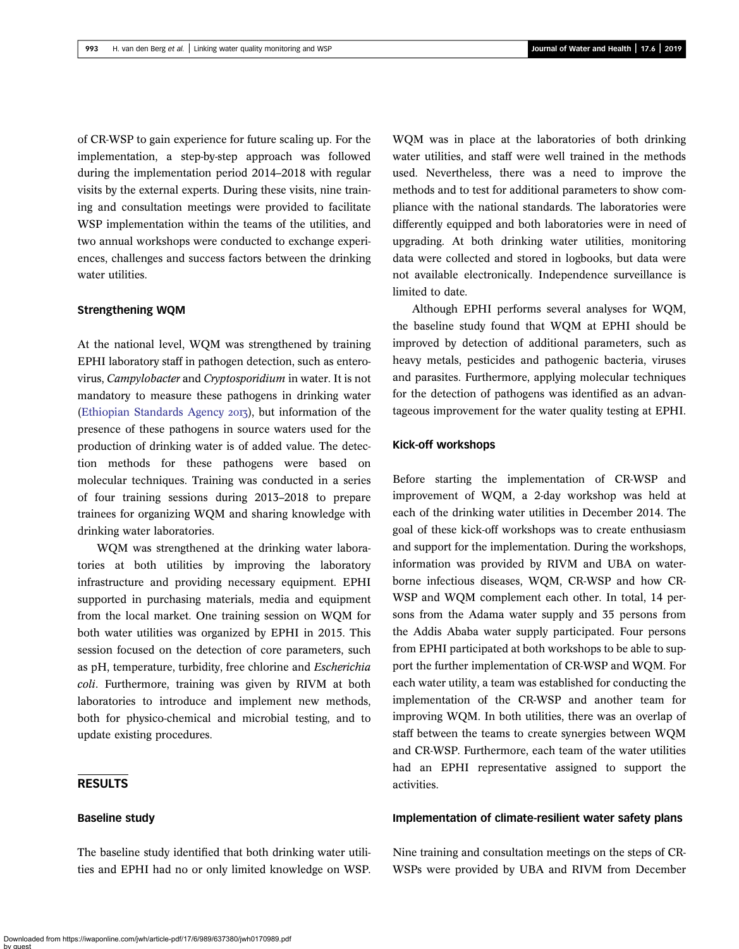of CR-WSP to gain experience for future scaling up. For the implementation, a step-by-step approach was followed during the implementation period 2014–2018 with regular visits by the external experts. During these visits, nine training and consultation meetings were provided to facilitate WSP implementation within the teams of the utilities, and two annual workshops were conducted to exchange experiences, challenges and success factors between the drinking water utilities.

## Strengthening WQM

At the national level, WQM was strengthened by training EPHI laboratory staff in pathogen detection, such as enterovirus, Campylobacter and Cryptosporidium in water. It is not mandatory to measure these pathogens in drinking water [\(Ethiopian Standards Agency](#page-11-0) 2013), but information of the presence of these pathogens in source waters used for the production of drinking water is of added value. The detection methods for these pathogens were based on molecular techniques. Training was conducted in a series of four training sessions during 2013–2018 to prepare trainees for organizing WQM and sharing knowledge with drinking water laboratories.

WQM was strengthened at the drinking water laboratories at both utilities by improving the laboratory infrastructure and providing necessary equipment. EPHI supported in purchasing materials, media and equipment from the local market. One training session on WQM for both water utilities was organized by EPHI in 2015. This session focused on the detection of core parameters, such as pH, temperature, turbidity, free chlorine and Escherichia coli. Furthermore, training was given by RIVM at both laboratories to introduce and implement new methods, both for physico-chemical and microbial testing, and to update existing procedures.

## RESULTS

#### Baseline study

The baseline study identified that both drinking water utilities and EPHI had no or only limited knowledge on WSP. WQM was in place at the laboratories of both drinking water utilities, and staff were well trained in the methods used. Nevertheless, there was a need to improve the methods and to test for additional parameters to show compliance with the national standards. The laboratories were differently equipped and both laboratories were in need of upgrading. At both drinking water utilities, monitoring data were collected and stored in logbooks, but data were not available electronically. Independence surveillance is limited to date.

Although EPHI performs several analyses for WQM, the baseline study found that WQM at EPHI should be improved by detection of additional parameters, such as heavy metals, pesticides and pathogenic bacteria, viruses and parasites. Furthermore, applying molecular techniques for the detection of pathogens was identified as an advantageous improvement for the water quality testing at EPHI.

#### Kick-off workshops

Before starting the implementation of CR-WSP and improvement of WQM, a 2-day workshop was held at each of the drinking water utilities in December 2014. The goal of these kick-off workshops was to create enthusiasm and support for the implementation. During the workshops, information was provided by RIVM and UBA on waterborne infectious diseases, WQM, CR-WSP and how CR-WSP and WQM complement each other. In total, 14 persons from the Adama water supply and 35 persons from the Addis Ababa water supply participated. Four persons from EPHI participated at both workshops to be able to support the further implementation of CR-WSP and WQM. For each water utility, a team was established for conducting the implementation of the CR-WSP and another team for improving WQM. In both utilities, there was an overlap of staff between the teams to create synergies between WQM and CR-WSP. Furthermore, each team of the water utilities had an EPHI representative assigned to support the activities.

### Implementation of climate-resilient water safety plans

Nine training and consultation meetings on the steps of CR-WSPs were provided by UBA and RIVM from December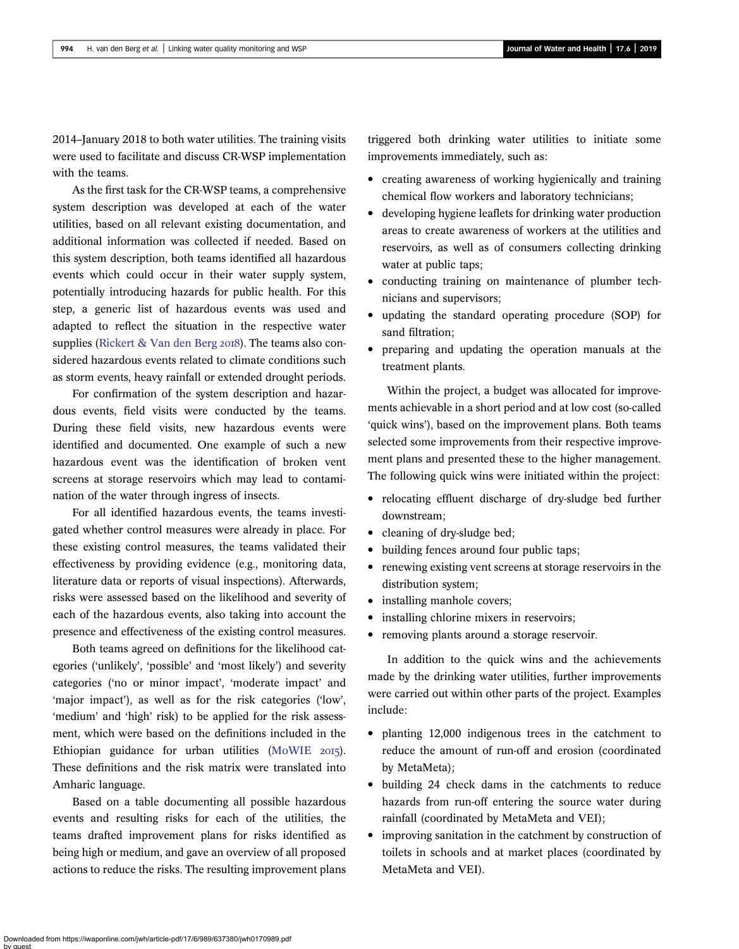2014–January 2018 to both water utilities. The training visits were used to facilitate and discuss CR-WSP implementation with the teams.

As the first task for the CR-WSP teams, a comprehensive system description was developed at each of the water utilities, based on all relevant existing documentation, and additional information was collected if needed. Based on this system description, both teams identified all hazardous events which could occur in their water supply system, potentially introducing hazards for public health. For this step, a generic list of hazardous events was used and adapted to reflect the situation in the respective water supplies ([Rickert & Van den Berg](#page-11-0)  $20I8$ ). The teams also considered hazardous events related to climate conditions such as storm events, heavy rainfall or extended drought periods.

For confirmation of the system description and hazardous events, field visits were conducted by the teams. During these field visits, new hazardous events were identified and documented. One example of such a new hazardous event was the identification of broken vent screens at storage reservoirs which may lead to contamination of the water through ingress of insects.

For all identified hazardous events, the teams investigated whether control measures were already in place. For these existing control measures, the teams validated their effectiveness by providing evidence (e.g., monitoring data, literature data or reports of visual inspections). Afterwards, risks were assessed based on the likelihood and severity of each of the hazardous events, also taking into account the presence and effectiveness of the existing control measures.

Both teams agreed on definitions for the likelihood categories ('unlikely', 'possible' and 'most likely') and severity categories ('no or minor impact', 'moderate impact' and 'major impact'), as well as for the risk categories ('low', 'medium' and 'high' risk) to be applied for the risk assessment, which were based on the definitions included in the Ethiopian guidance for urban utilities  $(MoWIE 2015)$  $(MoWIE 2015)$ . These definitions and the risk matrix were translated into Amharic language.

Based on a table documenting all possible hazardous events and resulting risks for each of the utilities, the teams drafted improvement plans for risks identified as being high or medium, and gave an overview of all proposed actions to reduce the risks. The resulting improvement plans triggered both drinking water utilities to initiate some improvements immediately, such as:

- creating awareness of working hygienically and training chemical flow workers and laboratory technicians;
- developing hygiene leaflets for drinking water production areas to create awareness of workers at the utilities and reservoirs, as well as of consumers collecting drinking water at public taps;
- conducting training on maintenance of plumber technicians and supervisors;
- updating the standard operating procedure (SOP) for sand filtration;
- preparing and updating the operation manuals at the treatment plants.

Within the project, a budget was allocated for improvements achievable in a short period and at low cost (so-called 'quick wins'), based on the improvement plans. Both teams selected some improvements from their respective improvement plans and presented these to the higher management. The following quick wins were initiated within the project:

- relocating effluent discharge of dry-sludge bed further downstream;
- cleaning of dry-sludge bed;
- building fences around four public taps;
- renewing existing vent screens at storage reservoirs in the distribution system;
- installing manhole covers;
- installing chlorine mixers in reservoirs;
- removing plants around a storage reservoir.

In addition to the quick wins and the achievements made by the drinking water utilities, further improvements were carried out within other parts of the project. Examples include:

- planting 12,000 indigenous trees in the catchment to reduce the amount of run-off and erosion (coordinated by MetaMeta);
- building 24 check dams in the catchments to reduce hazards from run-off entering the source water during rainfall (coordinated by MetaMeta and VEI);
- improving sanitation in the catchment by construction of toilets in schools and at market places (coordinated by MetaMeta and VEI).

Downloaded from https://iwaponline.com/jwh/article-pdf/17/6/989/637380/jwh0170989.pdf by guest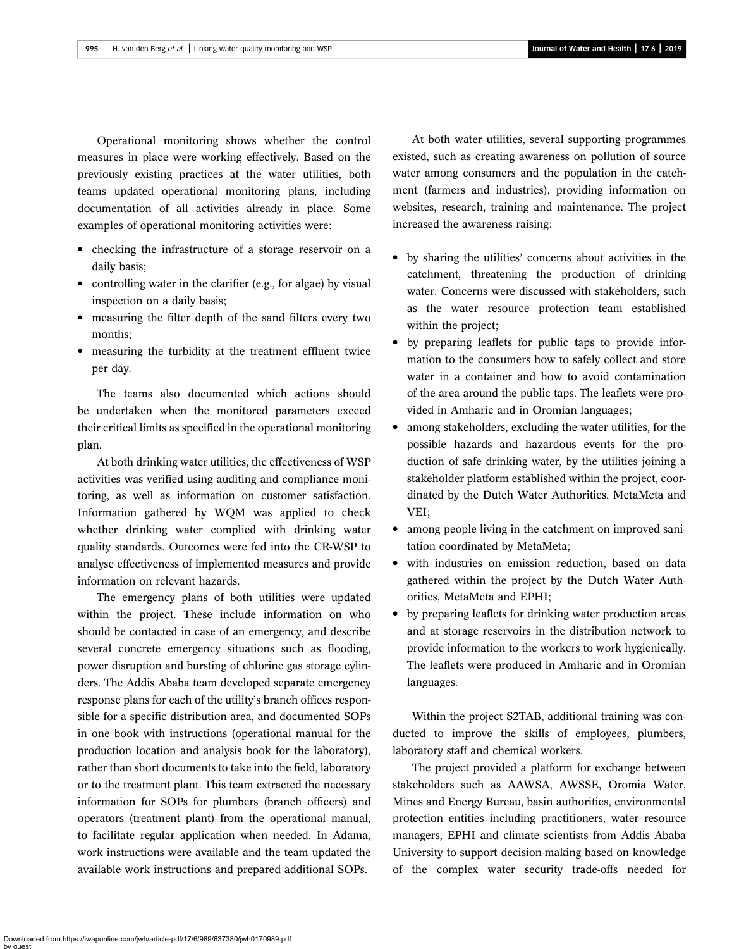Operational monitoring shows whether the control measures in place were working effectively. Based on the previously existing practices at the water utilities, both teams updated operational monitoring plans, including documentation of all activities already in place. Some examples of operational monitoring activities were:

- checking the infrastructure of a storage reservoir on a daily basis;
- controlling water in the clarifier (e.g., for algae) by visual inspection on a daily basis;
- measuring the filter depth of the sand filters every two months;
- measuring the turbidity at the treatment effluent twice per day.

The teams also documented which actions should be undertaken when the monitored parameters exceed their critical limits as specified in the operational monitoring plan.

At both drinking water utilities, the effectiveness of WSP activities was verified using auditing and compliance monitoring, as well as information on customer satisfaction. Information gathered by WQM was applied to check whether drinking water complied with drinking water quality standards. Outcomes were fed into the CR-WSP to analyse effectiveness of implemented measures and provide information on relevant hazards.

The emergency plans of both utilities were updated within the project. These include information on who should be contacted in case of an emergency, and describe several concrete emergency situations such as flooding, power disruption and bursting of chlorine gas storage cylinders. The Addis Ababa team developed separate emergency response plans for each of the utility's branch offices responsible for a specific distribution area, and documented SOPs in one book with instructions (operational manual for the production location and analysis book for the laboratory), rather than short documents to take into the field, laboratory or to the treatment plant. This team extracted the necessary information for SOPs for plumbers (branch officers) and operators (treatment plant) from the operational manual, to facilitate regular application when needed. In Adama, work instructions were available and the team updated the available work instructions and prepared additional SOPs.

At both water utilities, several supporting programmes existed, such as creating awareness on pollution of source water among consumers and the population in the catchment (farmers and industries), providing information on websites, research, training and maintenance. The project increased the awareness raising:

- by sharing the utilities' concerns about activities in the catchment, threatening the production of drinking water. Concerns were discussed with stakeholders, such as the water resource protection team established within the project;
- by preparing leaflets for public taps to provide information to the consumers how to safely collect and store water in a container and how to avoid contamination of the area around the public taps. The leaflets were provided in Amharic and in Oromian languages;
- among stakeholders, excluding the water utilities, for the possible hazards and hazardous events for the production of safe drinking water, by the utilities joining a stakeholder platform established within the project, coordinated by the Dutch Water Authorities, MetaMeta and VEI;
- among people living in the catchment on improved sanitation coordinated by MetaMeta;
- with industries on emission reduction, based on data gathered within the project by the Dutch Water Authorities, MetaMeta and EPHI;
- by preparing leaflets for drinking water production areas and at storage reservoirs in the distribution network to provide information to the workers to work hygienically. The leaflets were produced in Amharic and in Oromian languages.

Within the project S2TAB, additional training was conducted to improve the skills of employees, plumbers, laboratory staff and chemical workers.

The project provided a platform for exchange between stakeholders such as AAWSA, AWSSE, Oromia Water, Mines and Energy Bureau, basin authorities, environmental protection entities including practitioners, water resource managers, EPHI and climate scientists from Addis Ababa University to support decision-making based on knowledge of the complex water security trade-offs needed for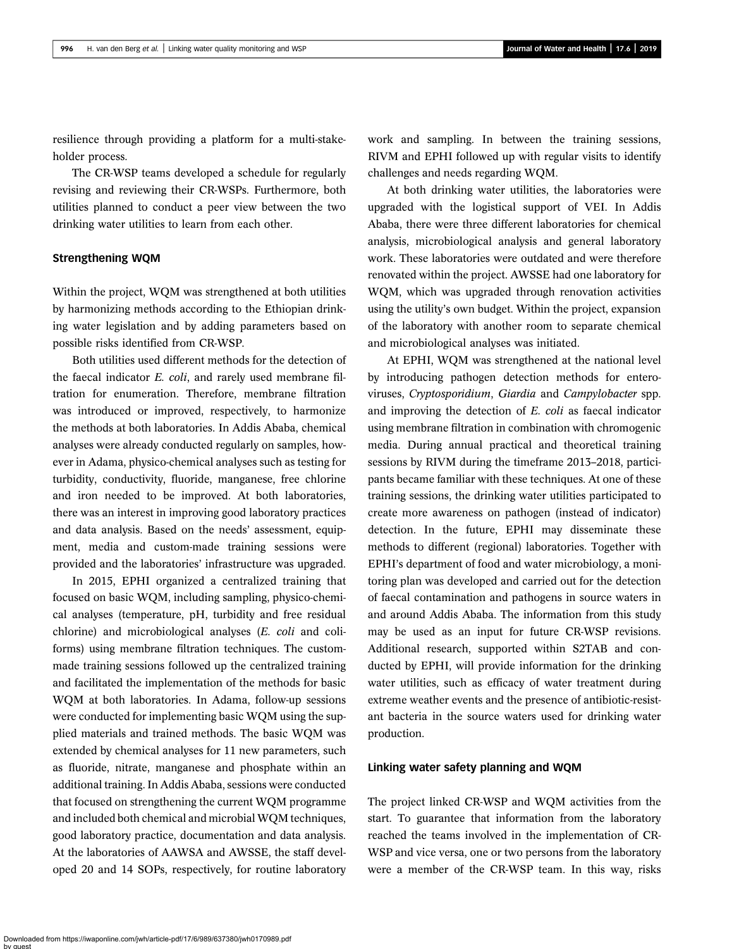resilience through providing a platform for a multi-stakeholder process.

The CR-WSP teams developed a schedule for regularly revising and reviewing their CR-WSPs. Furthermore, both utilities planned to conduct a peer view between the two drinking water utilities to learn from each other.

#### Strengthening WQM

Within the project, WQM was strengthened at both utilities by harmonizing methods according to the Ethiopian drinking water legislation and by adding parameters based on possible risks identified from CR-WSP.

Both utilities used different methods for the detection of the faecal indicator E. coli, and rarely used membrane filtration for enumeration. Therefore, membrane filtration was introduced or improved, respectively, to harmonize the methods at both laboratories. In Addis Ababa, chemical analyses were already conducted regularly on samples, however in Adama, physico-chemical analyses such as testing for turbidity, conductivity, fluoride, manganese, free chlorine and iron needed to be improved. At both laboratories, there was an interest in improving good laboratory practices and data analysis. Based on the needs' assessment, equipment, media and custom-made training sessions were provided and the laboratories' infrastructure was upgraded.

In 2015, EPHI organized a centralized training that focused on basic WQM, including sampling, physico-chemical analyses (temperature, pH, turbidity and free residual chlorine) and microbiological analyses (E. coli and coliforms) using membrane filtration techniques. The custommade training sessions followed up the centralized training and facilitated the implementation of the methods for basic WQM at both laboratories. In Adama, follow-up sessions were conducted for implementing basic WQM using the supplied materials and trained methods. The basic WQM was extended by chemical analyses for 11 new parameters, such as fluoride, nitrate, manganese and phosphate within an additional training. In Addis Ababa, sessions were conducted that focused on strengthening the current WQM programme and included both chemical and microbial WQM techniques, good laboratory practice, documentation and data analysis. At the laboratories of AAWSA and AWSSE, the staff developed 20 and 14 SOPs, respectively, for routine laboratory work and sampling. In between the training sessions, RIVM and EPHI followed up with regular visits to identify challenges and needs regarding WQM.

At both drinking water utilities, the laboratories were upgraded with the logistical support of VEI. In Addis Ababa, there were three different laboratories for chemical analysis, microbiological analysis and general laboratory work. These laboratories were outdated and were therefore renovated within the project. AWSSE had one laboratory for WQM, which was upgraded through renovation activities using the utility's own budget. Within the project, expansion of the laboratory with another room to separate chemical and microbiological analyses was initiated.

At EPHI, WQM was strengthened at the national level by introducing pathogen detection methods for enteroviruses, Cryptosporidium, Giardia and Campylobacter spp. and improving the detection of E. coli as faecal indicator using membrane filtration in combination with chromogenic media. During annual practical and theoretical training sessions by RIVM during the timeframe 2013–2018, participants became familiar with these techniques. At one of these training sessions, the drinking water utilities participated to create more awareness on pathogen (instead of indicator) detection. In the future, EPHI may disseminate these methods to different (regional) laboratories. Together with EPHI's department of food and water microbiology, a monitoring plan was developed and carried out for the detection of faecal contamination and pathogens in source waters in and around Addis Ababa. The information from this study may be used as an input for future CR-WSP revisions. Additional research, supported within S2TAB and conducted by EPHI, will provide information for the drinking water utilities, such as efficacy of water treatment during extreme weather events and the presence of antibiotic-resistant bacteria in the source waters used for drinking water production.

#### Linking water safety planning and WQM

The project linked CR-WSP and WQM activities from the start. To guarantee that information from the laboratory reached the teams involved in the implementation of CR-WSP and vice versa, one or two persons from the laboratory were a member of the CR-WSP team. In this way, risks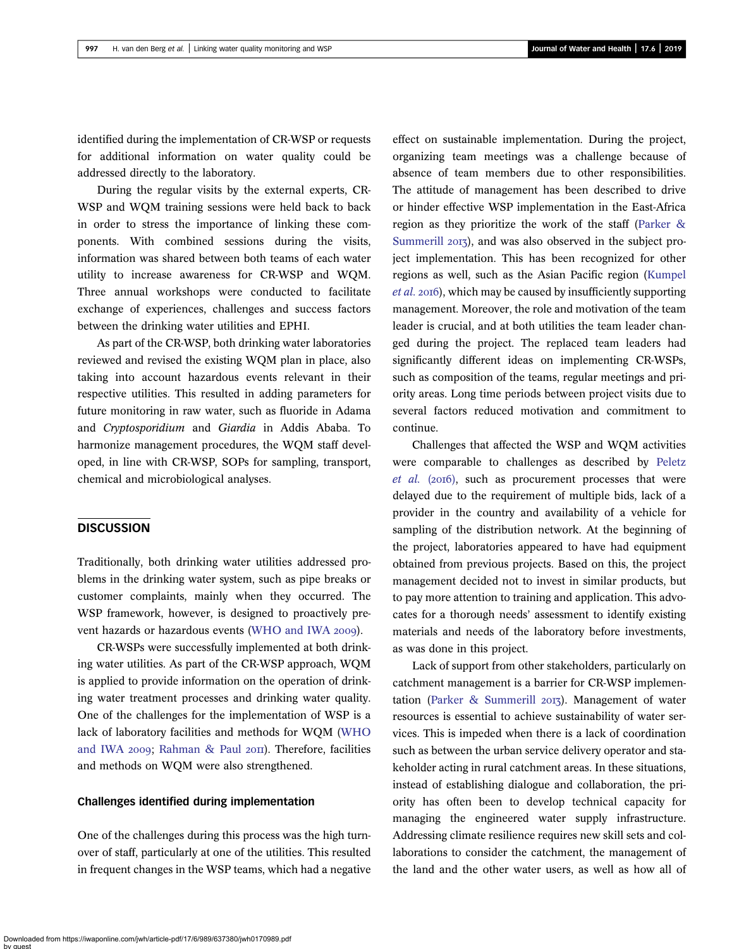identified during the implementation of CR-WSP or requests for additional information on water quality could be addressed directly to the laboratory.

During the regular visits by the external experts, CR-WSP and WQM training sessions were held back to back in order to stress the importance of linking these components. With combined sessions during the visits, information was shared between both teams of each water utility to increase awareness for CR-WSP and WQM. Three annual workshops were conducted to facilitate exchange of experiences, challenges and success factors between the drinking water utilities and EPHI.

As part of the CR-WSP, both drinking water laboratories reviewed and revised the existing WQM plan in place, also taking into account hazardous events relevant in their respective utilities. This resulted in adding parameters for future monitoring in raw water, such as fluoride in Adama and Cryptosporidium and Giardia in Addis Ababa. To harmonize management procedures, the WQM staff developed, in line with CR-WSP, SOPs for sampling, transport, chemical and microbiological analyses.

## **DISCUSSION**

Traditionally, both drinking water utilities addressed problems in the drinking water system, such as pipe breaks or customer complaints, mainly when they occurred. The WSP framework, however, is designed to proactively pre-vent hazards or hazardous events [\(WHO and IWA](#page-12-0) 2009).

CR-WSPs were successfully implemented at both drinking water utilities. As part of the CR-WSP approach, WQM is applied to provide information on the operation of drinking water treatment processes and drinking water quality. One of the challenges for the implementation of WSP is a lack of laboratory facilities and methods for WQM [\(WHO](#page-12-0) [and IWA](#page-12-0) 2009; [Rahman & Paul](#page-11-0) 2011). Therefore, facilities and methods on WQM were also strengthened.

#### Challenges identified during implementation

One of the challenges during this process was the high turnover of staff, particularly at one of the utilities. This resulted in frequent changes in the WSP teams, which had a negative

effect on sustainable implementation. During the project, organizing team meetings was a challenge because of absence of team members due to other responsibilities. The attitude of management has been described to drive or hinder effective WSP implementation in the East-Africa region as they prioritize the work of the staff [\(Parker &](#page-11-0) [Summerill](#page-11-0) 2013), and was also observed in the subject project implementation. This has been recognized for other regions as well, such as the Asian Pacific region ([Kumpel](#page-11-0) [et al.](#page-11-0) 2016), which may be caused by insufficiently supporting management. Moreover, the role and motivation of the team leader is crucial, and at both utilities the team leader changed during the project. The replaced team leaders had significantly different ideas on implementing CR-WSPs, such as composition of the teams, regular meetings and priority areas. Long time periods between project visits due to several factors reduced motivation and commitment to continue.

Challenges that affected the WSP and WQM activities were comparable to challenges as described by [Peletz](#page-11-0)  $et$   $al.$  ( $2016$ ), such as procurement processes that were delayed due to the requirement of multiple bids, lack of a provider in the country and availability of a vehicle for sampling of the distribution network. At the beginning of the project, laboratories appeared to have had equipment obtained from previous projects. Based on this, the project management decided not to invest in similar products, but to pay more attention to training and application. This advocates for a thorough needs' assessment to identify existing materials and needs of the laboratory before investments, as was done in this project.

Lack of support from other stakeholders, particularly on catchment management is a barrier for CR-WSP implemen-tation [\(Parker & Summerill](#page-11-0) 2013). Management of water resources is essential to achieve sustainability of water services. This is impeded when there is a lack of coordination such as between the urban service delivery operator and stakeholder acting in rural catchment areas. In these situations, instead of establishing dialogue and collaboration, the priority has often been to develop technical capacity for managing the engineered water supply infrastructure. Addressing climate resilience requires new skill sets and collaborations to consider the catchment, the management of the land and the other water users, as well as how all of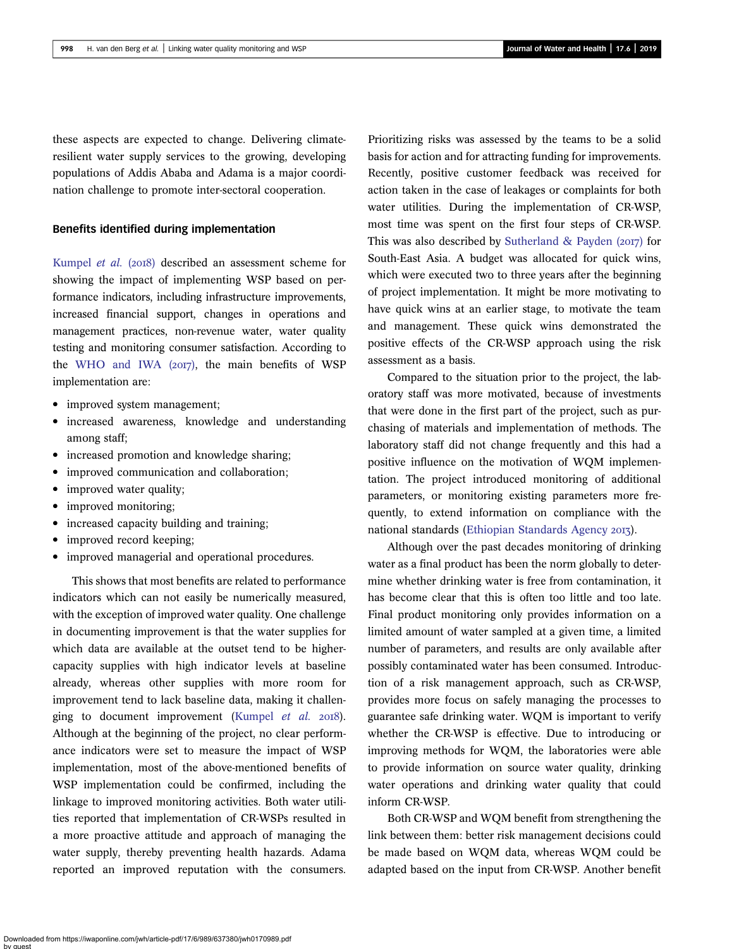these aspects are expected to change. Delivering climateresilient water supply services to the growing, developing populations of Addis Ababa and Adama is a major coordination challenge to promote inter-sectoral cooperation.

#### Benefits identified during implementation

[Kumpel](#page-11-0) et al. (2018) described an assessment scheme for showing the impact of implementing WSP based on performance indicators, including infrastructure improvements, increased financial support, changes in operations and management practices, non-revenue water, water quality testing and monitoring consumer satisfaction. According to the [WHO and IWA \(](#page-12-0)2017), the main benefits of WSP implementation are:

- improved system management;
- increased awareness, knowledge and understanding among staff;
- increased promotion and knowledge sharing;
- improved communication and collaboration;
- improved water quality;
- improved monitoring;
- increased capacity building and training;
- improved record keeping;
- improved managerial and operational procedures.

This shows that most benefits are related to performance indicators which can not easily be numerically measured, with the exception of improved water quality. One challenge in documenting improvement is that the water supplies for which data are available at the outset tend to be highercapacity supplies with high indicator levels at baseline already, whereas other supplies with more room for improvement tend to lack baseline data, making it challen-ging to document improvement ([Kumpel](#page-11-0) et al. 2018). Although at the beginning of the project, no clear performance indicators were set to measure the impact of WSP implementation, most of the above-mentioned benefits of WSP implementation could be confirmed, including the linkage to improved monitoring activities. Both water utilities reported that implementation of CR-WSPs resulted in a more proactive attitude and approach of managing the water supply, thereby preventing health hazards. Adama reported an improved reputation with the consumers. Prioritizing risks was assessed by the teams to be a solid basis for action and for attracting funding for improvements. Recently, positive customer feedback was received for action taken in the case of leakages or complaints for both water utilities. During the implementation of CR-WSP, most time was spent on the first four steps of CR-WSP. This was also described by [Sutherland & Payden \(](#page-12-0) $20I7$ ) for South-East Asia. A budget was allocated for quick wins, which were executed two to three years after the beginning of project implementation. It might be more motivating to have quick wins at an earlier stage, to motivate the team and management. These quick wins demonstrated the positive effects of the CR-WSP approach using the risk assessment as a basis.

Compared to the situation prior to the project, the laboratory staff was more motivated, because of investments that were done in the first part of the project, such as purchasing of materials and implementation of methods. The laboratory staff did not change frequently and this had a positive influence on the motivation of WQM implementation. The project introduced monitoring of additional parameters, or monitoring existing parameters more frequently, to extend information on compliance with the national standards ([Ethiopian Standards Agency](#page-11-0) 2013).

Although over the past decades monitoring of drinking water as a final product has been the norm globally to determine whether drinking water is free from contamination, it has become clear that this is often too little and too late. Final product monitoring only provides information on a limited amount of water sampled at a given time, a limited number of parameters, and results are only available after possibly contaminated water has been consumed. Introduction of a risk management approach, such as CR-WSP, provides more focus on safely managing the processes to guarantee safe drinking water. WQM is important to verify whether the CR-WSP is effective. Due to introducing or improving methods for WQM, the laboratories were able to provide information on source water quality, drinking water operations and drinking water quality that could inform CR-WSP.

Both CR-WSP and WQM benefit from strengthening the link between them: better risk management decisions could be made based on WQM data, whereas WQM could be adapted based on the input from CR-WSP. Another benefit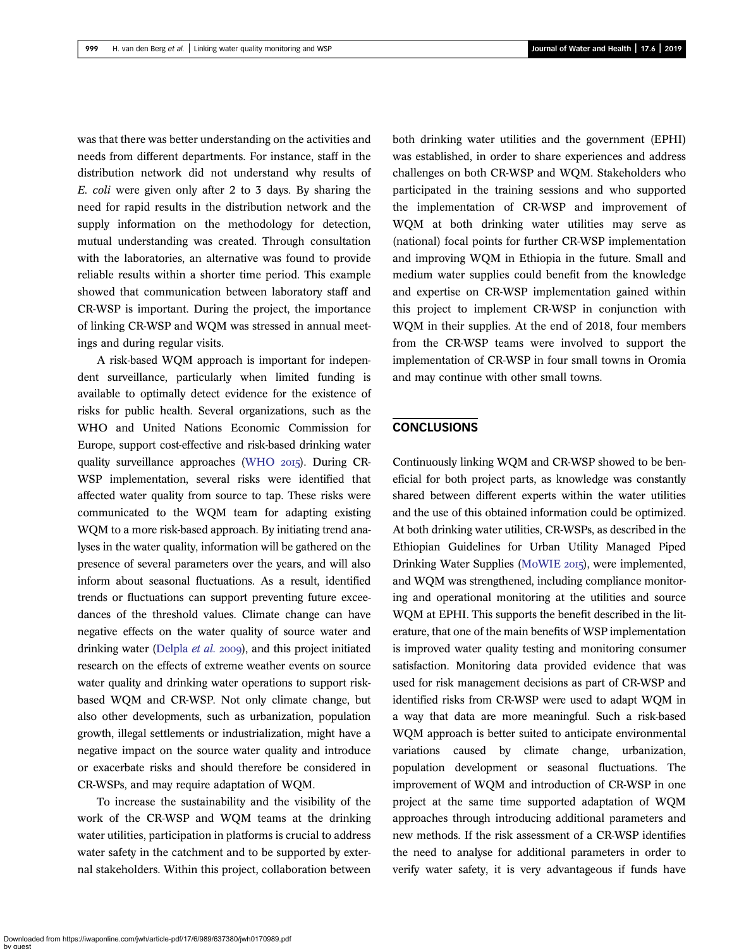was that there was better understanding on the activities and needs from different departments. For instance, staff in the distribution network did not understand why results of E. coli were given only after 2 to 3 days. By sharing the need for rapid results in the distribution network and the supply information on the methodology for detection, mutual understanding was created. Through consultation with the laboratories, an alternative was found to provide reliable results within a shorter time period. This example showed that communication between laboratory staff and CR-WSP is important. During the project, the importance of linking CR-WSP and WQM was stressed in annual meetings and during regular visits.

A risk-based WQM approach is important for independent surveillance, particularly when limited funding is available to optimally detect evidence for the existence of risks for public health. Several organizations, such as the WHO and United Nations Economic Commission for Europe, support cost-effective and risk-based drinking water quality surveillance approaches [\(WHO](#page-12-0) 2015). During CR-WSP implementation, several risks were identified that affected water quality from source to tap. These risks were communicated to the WQM team for adapting existing WQM to a more risk-based approach. By initiating trend analyses in the water quality, information will be gathered on the presence of several parameters over the years, and will also inform about seasonal fluctuations. As a result, identified trends or fluctuations can support preventing future exceedances of the threshold values. Climate change can have negative effects on the water quality of source water and drinking water ([Delpla](#page-11-0) et al. 2009), and this project initiated research on the effects of extreme weather events on source water quality and drinking water operations to support riskbased WQM and CR-WSP. Not only climate change, but also other developments, such as urbanization, population growth, illegal settlements or industrialization, might have a negative impact on the source water quality and introduce or exacerbate risks and should therefore be considered in CR-WSPs, and may require adaptation of WQM.

To increase the sustainability and the visibility of the work of the CR-WSP and WQM teams at the drinking water utilities, participation in platforms is crucial to address water safety in the catchment and to be supported by external stakeholders. Within this project, collaboration between both drinking water utilities and the government (EPHI) was established, in order to share experiences and address challenges on both CR-WSP and WQM. Stakeholders who participated in the training sessions and who supported the implementation of CR-WSP and improvement of WQM at both drinking water utilities may serve as (national) focal points for further CR-WSP implementation and improving WQM in Ethiopia in the future. Small and medium water supplies could benefit from the knowledge and expertise on CR-WSP implementation gained within this project to implement CR-WSP in conjunction with WQM in their supplies. At the end of 2018, four members from the CR-WSP teams were involved to support the implementation of CR-WSP in four small towns in Oromia and may continue with other small towns.

## **CONCLUSIONS**

Continuously linking WQM and CR-WSP showed to be beneficial for both project parts, as knowledge was constantly shared between different experts within the water utilities and the use of this obtained information could be optimized. At both drinking water utilities, CR-WSPs, as described in the Ethiopian Guidelines for Urban Utility Managed Piped Drinking Water Supplies [\(MoWIE](#page-11-0) 2015), were implemented, and WQM was strengthened, including compliance monitoring and operational monitoring at the utilities and source WQM at EPHI. This supports the benefit described in the literature, that one of the main benefits of WSP implementation is improved water quality testing and monitoring consumer satisfaction. Monitoring data provided evidence that was used for risk management decisions as part of CR-WSP and identified risks from CR-WSP were used to adapt WQM in a way that data are more meaningful. Such a risk-based WQM approach is better suited to anticipate environmental variations caused by climate change, urbanization, population development or seasonal fluctuations. The improvement of WQM and introduction of CR-WSP in one project at the same time supported adaptation of WQM approaches through introducing additional parameters and new methods. If the risk assessment of a CR-WSP identifies the need to analyse for additional parameters in order to verify water safety, it is very advantageous if funds have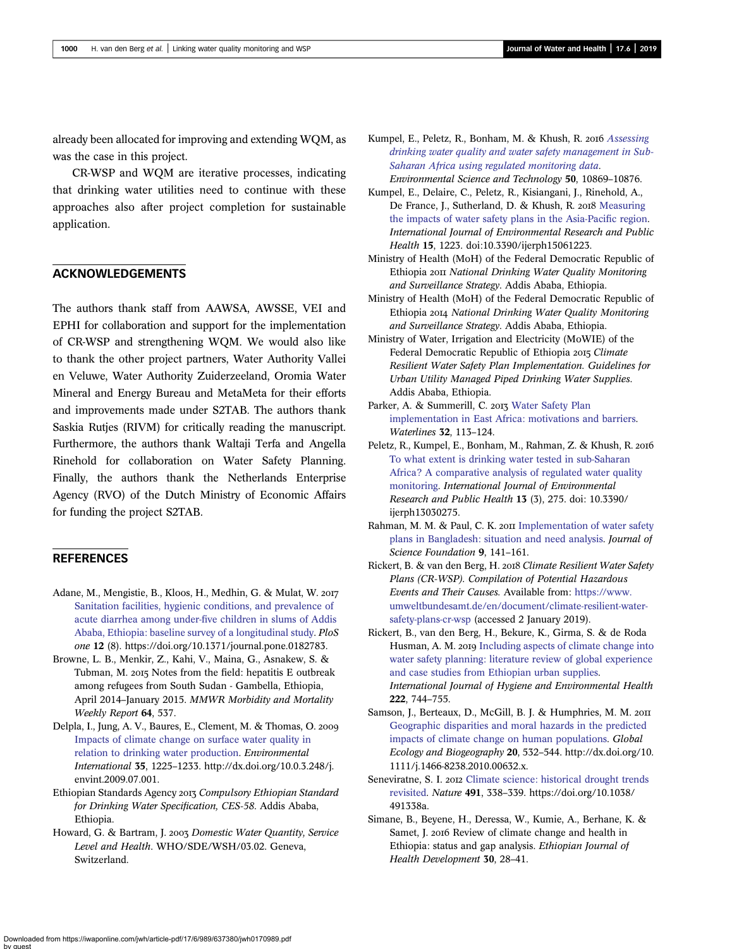<span id="page-11-0"></span>already been allocated for improving and extending WQM, as was the case in this project.

CR-WSP and WQM are iterative processes, indicating that drinking water utilities need to continue with these approaches also after project completion for sustainable application.

## ACKNOWLEDGEMENTS

The authors thank staff from AAWSA, AWSSE, VEI and EPHI for collaboration and support for the implementation of CR-WSP and strengthening WQM. We would also like to thank the other project partners, Water Authority Vallei en Veluwe, Water Authority Zuiderzeeland, Oromia Water Mineral and Energy Bureau and MetaMeta for their efforts and improvements made under S2TAB. The authors thank Saskia Rutjes (RIVM) for critically reading the manuscript. Furthermore, the authors thank Waltaji Terfa and Angella Rinehold for collaboration on Water Safety Planning. Finally, the authors thank the Netherlands Enterprise Agency (RVO) of the Dutch Ministry of Economic Affairs for funding the project S2TAB.

## **REFERENCES**

- Adane, M., Mengistie, B., Kloos, H., Medhin, G. & Mulat, W. [Sanitation facilities, hygienic conditions, and prevalence of](http://dx.doi.org/10.1371/journal.pone.0182783) acute diarrhea among under-fi[ve children in slums of Addis](http://dx.doi.org/10.1371/journal.pone.0182783) [Ababa, Ethiopia: baseline survey of a longitudinal study.](http://dx.doi.org/10.1371/journal.pone.0182783) PloS one 12 (8). https://doi.org/10.1371/journal.pone.0182783.
- Browne, L. B., Menkir, Z., Kahi, V., Maina, G., Asnakew, S. & Tubman, M. 2015 Notes from the field: hepatitis E outbreak among refugees from South Sudan - Gambella, Ethiopia, April 2014–January 2015. MMWR Morbidity and Mortality Weekly Report 64, 537.
- Delpla, I., Jung, A. V., Baures, E., Clement, M. & Thomas, O. [Impacts of climate change on surface water quality in](http://dx.doi.org/10.1016/j.envint.2009.07.001) [relation to drinking water production.](http://dx.doi.org/10.1016/j.envint.2009.07.001) Environmental International 35, 1225–1233. http://dx.doi.org/10.0.3.248/j. envint.2009.07.001.
- Ethiopian Standards Agency 2013 Compulsory Ethiopian Standard for Drinking Water Specification, CES-58. Addis Ababa, Ethiopia.
- Howard, G. & Bartram, J. 2003 Domestic Water Quantity, Service Level and Health. WHO/SDE/WSH/03.02. Geneva, Switzerland.
- Kumpel, E., Peletz, R., Bonham, M. & Khush, R. 2016 [Assessing](http://dx.doi.org/10.1021/acs.est.6b02707) [drinking water quality and water safety management in Sub-](http://dx.doi.org/10.1021/acs.est.6b02707)[Saharan Africa using regulated monitoring data](http://dx.doi.org/10.1021/acs.est.6b02707). Environmental Science and Technology 50, 10869–10876.
- Kumpel, E., Delaire, C., Peletz, R., Kisiangani, J., Rinehold, A., De France, J., Sutherland, D. & Khush, R. 2018 [Measuring](http://dx.doi.org/10.3390/ijerph15061223) [the impacts of water safety plans in the Asia-Paci](http://dx.doi.org/10.3390/ijerph15061223)fic region. International Journal of Environmental Research and Public Health 15, 1223. doi:10.3390/ijerph15061223.
- Ministry of Health (MoH) of the Federal Democratic Republic of Ethiopia 2011 National Drinking Water Quality Monitoring and Surveillance Strategy. Addis Ababa, Ethiopia.
- Ministry of Health (MoH) of the Federal Democratic Republic of Ethiopia National Drinking Water Quality Monitoring and Surveillance Strategy. Addis Ababa, Ethiopia.
- Ministry of Water, Irrigation and Electricity (MoWIE) of the Federal Democratic Republic of Ethiopia 2015 Climate Resilient Water Safety Plan Implementation. Guidelines for Urban Utility Managed Piped Drinking Water Supplies. Addis Ababa, Ethiopia.
- Parker, A. & Summerill, C. 2013 [Water Safety Plan](http://dx.doi.org/10.3362/1756-3488.2013.013) [implementation in East Africa: motivations and barriers](http://dx.doi.org/10.3362/1756-3488.2013.013). Waterlines 32, 113–124.
- Peletz, R., Kumpel, E., Bonham, M., Rahman, Z. & Khush, R. [To what extent is drinking water tested in sub-Saharan](http://dx.doi.org/10.3390/ijerph13030275) [Africa? A comparative analysis of regulated water quality](http://dx.doi.org/10.3390/ijerph13030275) [monitoring](http://dx.doi.org/10.3390/ijerph13030275). International Journal of Environmental Research and Public Health 13 (3), 275. doi: 10.3390/ ijerph13030275.
- Rahman, M. M. & Paul, C. K. 2011 [Implementation of water safety](http://dx.doi.org/10.3329/jsf.v9i1-2.14657) [plans in Bangladesh: situation and need analysis.](http://dx.doi.org/10.3329/jsf.v9i1-2.14657) Journal of Science Foundation 9, 141–161.
- Rickert, B. & van den Berg, H. 2018 Climate Resilient Water Safety Plans (CR-WSP). Compilation of Potential Hazardous Events and Their Causes. Available from: [https://www.](https://www.umweltbundesamt.de/en/document/climate-resilient-water-safety-plans-cr-wsp) [umweltbundesamt.de/en/document/climate-resilient-water](https://www.umweltbundesamt.de/en/document/climate-resilient-water-safety-plans-cr-wsp)[safety-plans-cr-wsp](https://www.umweltbundesamt.de/en/document/climate-resilient-water-safety-plans-cr-wsp) (accessed 2 January 2019).
- Rickert, B., van den Berg, H., Bekure, K., Girma, S. & de Roda Husman, A. M. 2019 [Including aspects of climate change into](http://dx.doi.org/10.1016/j.ijheh.2019.05.007) [water safety planning: literature review of global experience](http://dx.doi.org/10.1016/j.ijheh.2019.05.007) [and case studies from Ethiopian urban supplies.](http://dx.doi.org/10.1016/j.ijheh.2019.05.007) International Journal of Hygiene and Environmental Health 222, 744–755.
- Samson, J., Berteaux, D., McGill, B. J. & Humphries, M. M. 2011 [Geographic disparities and moral hazards in the predicted](http://dx.doi.org/10.1111/j.1466-8238.2010.00632.x) [impacts of climate change on human populations.](http://dx.doi.org/10.1111/j.1466-8238.2010.00632.x) Global Ecology and Biogeography 20, 532–544. http://dx.doi.org/10. 1111/j.1466-8238.2010.00632.x.
- Seneviratne, S. I. 2012 [Climate science: historical drought trends](http://dx.doi.org/10.1038/491338a) [revisited.](http://dx.doi.org/10.1038/491338a) Nature 491, 338–339. https://doi.org/10.1038/ 491338a.
- Simane, B., Beyene, H., Deressa, W., Kumie, A., Berhane, K. & Samet, J. 2016 Review of climate change and health in Ethiopia: status and gap analysis. Ethiopian Journal of Health Development 30, 28–41.

Downloaded from https://iwaponline.com/jwh/article-pdf/17/6/989/637380/jwh0170989.pdf by guest